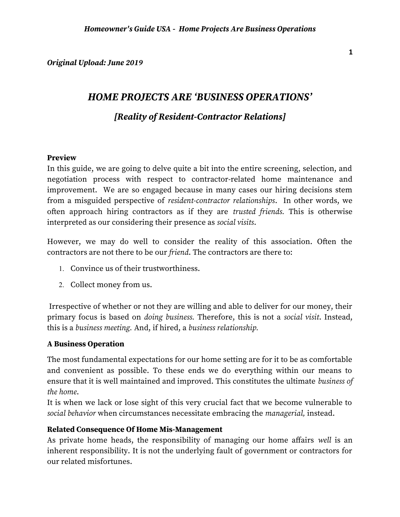*Original Upload: June 2019*

# *HOME PROJECTS ARE 'BUSINESS OPERATIONS'*

## *[Reality of Resident-Contractor Relations]*

## **Preview**

In this guide, we are going to delve quite a bit into the entire screening, selection, and negotiation process with respect to contractor-related home maintenance and improvement. We are so engaged because in many cases our hiring decisions stem from a misguided perspective of *resident-contractor relationships*. In other words, we often approach hiring contractors as if they are *trusted friends.* This is otherwise interpreted as our considering their presence as *social visits*.

However, we may do well to consider the reality of this association. Often the contractors are not there to be our *friend*. The contractors are there to:

- 1. Convince us of their trustworthiness.
- 2. Collect money from us.

 Irrespective of whether or not they are willing and able to deliver for our money, their primary focus is based on *doing business.* Therefore, this is not a *social visit*. Instead, this is a *business meeting.* And, if hired, a *business relationship.*

## **A Business Operation**

The most fundamental expectations for our home setting are for it to be as comfortable and convenient as possible. To these ends we do everything within our means to ensure that it is well maintained and improved. This constitutes the ultimate *business of the home*.

It is when we lack or lose sight of this very crucial fact that we become vulnerable to *social behavior* when circumstances necessitate embracing the *managerial,* instead.

## **Related Consequence Of Home Mis-Management**

As private home heads, the responsibility of managing our home affairs *well* is an inherent responsibility. It is not the underlying fault of government or contractors for our related misfortunes.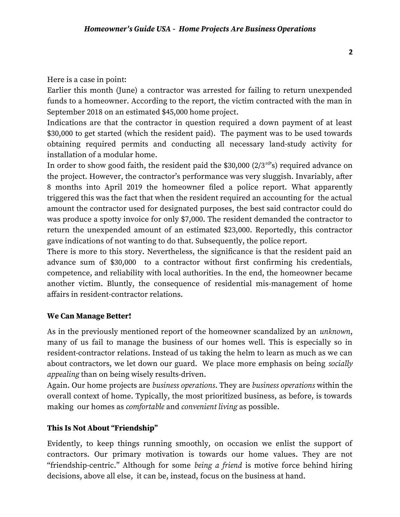Here is a case in point:

Earlier this month (June) a contractor was arrested for failing to return unexpended funds to a homeowner. According to the report, the victim contracted with the man in September 2018 on an estimated \$45,000 home project.

Indications are that the contractor in question required a down payment of at least \$30,000 to get started (which the resident paid). The payment was to be used towards obtaining required permits and conducting all necessary land-study activity for installation of a modular home.

In order to show good faith, the resident paid the \$30,000  $(2/3^{rd}s)$  required advance on the project. However, the contractor's performance was very sluggish. Invariably, after 8 months into April 2019 the homeowner filed a police report. What apparently triggered this was the fact that when the resident required an accounting for the actual amount the contractor used for designated purposes, the best said contractor could do was produce a spotty invoice for only \$7,000. The resident demanded the contractor to return the unexpended amount of an estimated \$23,000. Reportedly, this contractor gave indications of not wanting to do that. Subsequently, the police report.

There is more to this story. Nevertheless, the significance is that the resident paid an advance sum of \$30,000 to a contractor without first confirming his credentials, competence, and reliability with local authorities. In the end, the homeowner became another victim. Bluntly, the consequence of residential mis-management of home affairs in resident-contractor relations.

#### **We Can Manage Better!**

As in the previously mentioned report of the homeowner scandalized by an *unknown*, many of us fail to manage the business of our homes well. This is especially so in resident-contractor relations. Instead of us taking the helm to learn as much as we can about contractors, we let down our guard. We place more emphasis on being *socially appealing* than on being wisely results-driven.

Again. Our home projects are *business operations*. They are *business operations* within the overall context of home. Typically, the most prioritized business, as before, is towards making our homes as *comfortable* and *convenient living* as possible.

#### **This Is Not About "Friendship"**

Evidently, to keep things running smoothly, on occasion we enlist the support of contractors. Our primary motivation is towards our home values. They are not "friendship-centric." Although for some *being a friend* is motive force behind hiring decisions, above all else, it can be, instead, focus on the business at hand.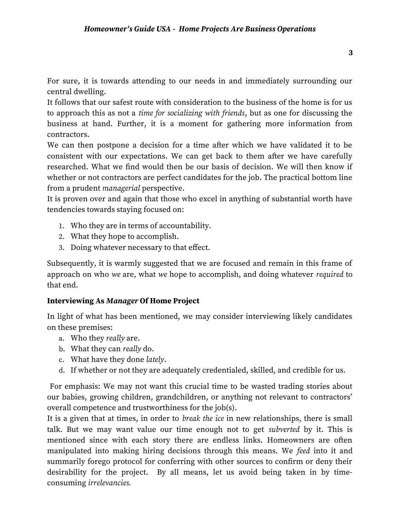For sure, it is towards attending to our needs in and immediately surrounding our central dwelling.

It follows that our safest route with consideration to the business of the home is for us to approach this as not a *time for socializing with friends*, but as one for discussing the business at hand. Further, it is a moment for gathering more information from contractors.

We can then postpone a decision for a time after which we have validated it to be consistent with our expectations. We can get back to them after we have carefully researched. What we find would then be our basis of decision. We will then know if whether or not contractors are perfect candidates for the job. The practical bottom line from a prudent *managerial* perspective.

It is proven over and again that those who excel in anything of substantial worth have tendencies towards staying focused on:

- 1. Who they are in terms of accountability.
- 2. What they hope to accomplish.
- 3. Doing whatever necessary to that effect.

Subsequently, it is warmly suggested that we are focused and remain in this frame of approach on who *we* are, what *we* hope to accomplish, and doing whatever *required* to that end.

## **Interviewing As** *Manager* **Of Home Project**

In light of what has been mentioned, we may consider interviewing likely candidates on these premises:

- a. Who they *really* are.
- b. What they can *really* do.
- c. What have they done *lately*.
- d. If whether or not they are adequately credentialed, skilled, and credible for us.

 For emphasis: We may not want this crucial time to be wasted trading stories about our babies, growing children, grandchildren, or anything not relevant to contractors' overall competence and trustworthiness for the job(s).

It is a given that at times, in order to *break the ice* in new relationships, there is small talk. But we may want value our time enough not to get *subverted* by it. This is mentioned since with each story there are endless links. Homeowners are often manipulated into making hiring decisions through this means. We *feed* into it and summarily forego protocol for conferring with other sources to confirm or deny their desirability for the project. By all means, let us avoid being taken in by timeconsuming *irrelevancies.*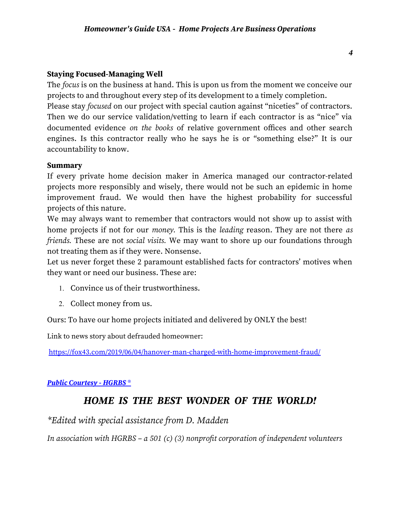### **Staying Focused-Managing Well**

The *focus* is on the business at hand. This is upon us from the moment we conceive our projects to and throughout every step of its development to a timely completion.

Please stay *focused* on our project with special caution against "niceties" of contractors. Then we do our service validation/vetting to learn if each contractor is as "nice" via documented evidence *on the books* of relative government offices and other search engines. Is this contractor really who he says he is or "something else?" It is our accountability to know.

#### **Summary**

If every private home decision maker in America managed our contractor-related projects more responsibly and wisely, there would not be such an epidemic in home improvement fraud. We would then have the highest probability for successful projects of this nature.

We may always want to remember that contractors would not show up to assist with home projects if not for our *money.* This is the *leading* reason. They are not there *as friends.* These are not *social visits.* We may want to shore up our foundations through not treating them as if they were. Nonsense.

Let us never forget these 2 paramount established facts for contractors' motives when they want or need our business. These are:

- 1. Convince us of their trustworthiness.
- 2. Collect money from us.

Ours: To have our home projects initiated and delivered by ONLY the best!

Link to news story about defrauded homeowner:

<https://fox43.com/2019/06/04/hanover-man-charged-with-home-improvement-fraud/>

## *[Public Courtesy - HGRBS](https://www.hgrbs-flagship.com/)* ®

## *HOME IS THE BEST WONDER OF THE WORLD!*

*\*Edited with special assistance from D. Madden* 

*In association with HGRBS – a 501 (c) (3) nonprofit corporation of independent volunteers*